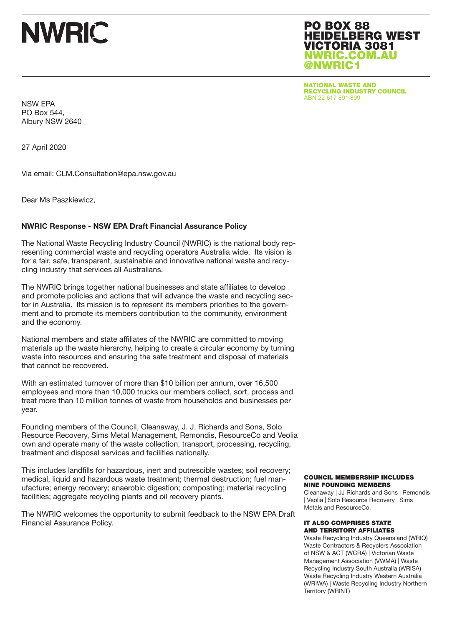# **NWRIC**

### PO BOX 88 HEIDELBERG WEST VICTORIA 3081 NWRIC.COM.AU @NWRIC1

NATIONAL WASTE AND RECYCLING INDUSTRY COUNCIL ABN 22 617 891 899

NSW EPA PO Box 544, Albury NSW 2640

27 April 2020

Via email: CLM.Consultation@epa.nsw.gov.au

Dear Ms Paszkiewicz,

#### NWRIC Response - NSW EPA Draft Financial Assurance Policy

The National Waste Recycling Industry Council (NWRIC) is the national body representing commercial waste and recycling operators Australia wide. Its vision is for a fair, safe, transparent, sustainable and innovative national waste and recycling industry that services all Australians.

The NWRIC brings together national businesses and state affiliates to develop and promote policies and actions that will advance the waste and recycling sector in Australia. Its mission is to represent its members priorities to the government and to promote its members contribution to the community, environment and the economy.

National members and state affiliates of the NWRIC are committed to moving materials up the waste hierarchy, helping to create a circular economy by turning waste into resources and ensuring the safe treatment and disposal of materials that cannot be recovered.

With an estimated turnover of more than \$10 billion per annum, over 16,500 employees and more than 10,000 trucks our members collect, sort, process and treat more than 10 million tonnes of waste from households and businesses per year.

Founding members of the Council, Cleanaway, J. J. Richards and Sons, Solo Resource Recovery, Sims Metal Management, Remondis, ResourceCo and Veolia own and operate many of the waste collection, transport, processing, recycling, treatment and disposal services and facilities nationally.

This includes landfills for hazardous, inert and putrescible wastes; soil recovery; medical, liquid and hazardous waste treatment; thermal destruction; fuel manufacture; energy recovery; anaerobic digestion; composting; material recycling facilities; aggregate recycling plants and oil recovery plants.

The NWRIC welcomes the opportunity to submit feedback to the NSW EPA Draft Financial Assurance Policy.

#### COUNCIL MEMBERSHIP INCLUDES NINE FOUNDING MEMBERS

Cleanaway | JJ Richards and Sons | Remondis | Veolia | Solo Resource Recovery | Sims Metals and ResourceCo.

#### IT ALSO COMPRISES STATE AND TERRITORY AFFILIATES

Waste Recycling Industry Queensland (WRIQ) Waste Contractors & Recyclers Association of NSW & ACT (WCRA) | Victorian Waste Management Association (VWMA) | Waste Recycling Industry South Australia (WRISA) Waste Recycling Industry Western Australia (WRIWA) | Waste Recycling Industry Northern Territory (WRINT)